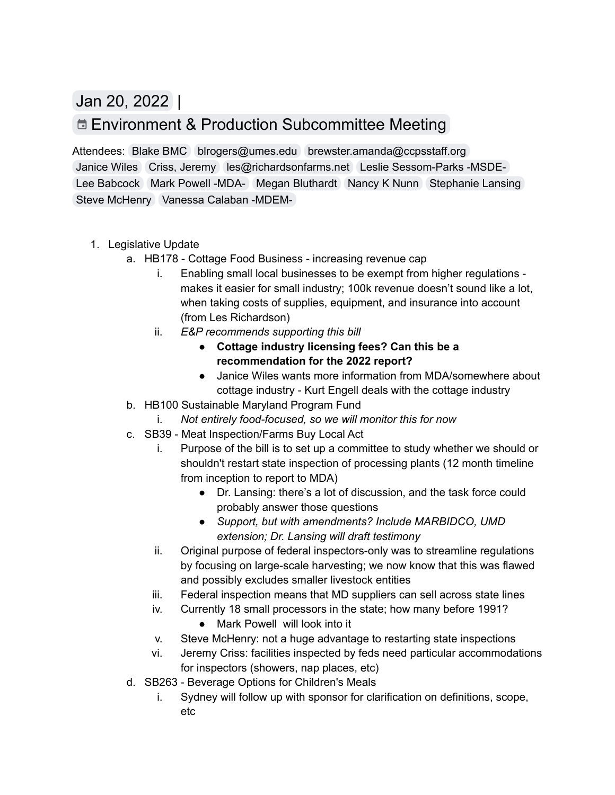Jan 20, 2022 |

## Environment & Production [Subcommittee](https://www.google.com/calendar/event?eid=N200bjU2b3Y3b201aWhoYWtvZTM1ZGs3aGZfMjAyMjAxMjBUMTgwMDAwWiB2YW5lc3NhLmNhbGFiYW5AbWFyeWxhbmQuZ292) Meeting

Lee [Babcock](mailto:lhbabcock09@gmail.com) Mark [Powell](mailto:mark.powell@maryland.gov) -MDA- Megan [Bluthardt](mailto:mbluthardt@baltometro.org) [Nancy](mailto:nnunn@umd.edu) K Nunn [Stephanie](mailto:slansing@umd.edu) Lansing Steve [McHenry](mailto:smchenry@marbidco.org) [Vanessa](mailto:vanessa.calaban@maryland.gov) Calaban -MDEM-Attendees: [Blake](mailto:bfisher@baltometro.org) BMC [blrogers@umes.edu](mailto:blrogers@umes.edu) [brewster.amanda@ccpsstaff.org](mailto:brewster.amanda@ccpsstaff.org) [Janice](mailto:janice@communityfare.org) Wiles Criss, [Jeremy](mailto:jeremy.criss@montgomerycountymd.gov) [les@richardsonfarms.net](mailto:les@richardsonfarms.net) Leslie [Sessom-Parks](mailto:leslie.sessomparks@maryland.gov) -MSDE-

- 1. Legislative Update
	- a. HB178 Cottage Food Business increasing revenue cap
		- i. Enabling small local businesses to be exempt from higher regulations makes it easier for small industry; 100k revenue doesn't sound like a lot, when taking costs of supplies, equipment, and insurance into account (from Les Richardson)
		- ii. *E&P recommends supporting this bill*
			- **● Cottage industry licensing fees? Can this be a recommendation for the 2022 report?**
			- ● Janice Wiles wants more information from MDA/somewhere about cottage industry - Kurt Engell deals with the cottage industry
	- b. HB100 Sustainable Maryland Program Fund
		- i. *Not entirely food-focused, so we will monitor this for now*
	- c. SB39 Meat Inspection/Farms Buy Local Act
		- i. Purpose of the bill is to set up a committee to study whether we should or shouldn't restart state inspection of processing plants (12 month timeline from inception to report to MDA)
			- ● Dr. Lansing: there's a lot of discussion, and the task force could probably answer those questions
			- *● Support, but with amendments? Include MARBIDCO, UMD extension; Dr. Lansing will draft testimony*
		- ii. Original purpose of federal inspectors-only was to streamline regulations by focusing on large-scale harvesting; we now know that this was flawed and possibly excludes smaller livestock entities
		- iii. Federal inspection means that MD suppliers can sell across state lines
		- iv. Currently 18 small processors in the state; how many before 1991?
			- Mark Powell will look into it
		- v. Steve McHenry: not a huge advantage to restarting state inspections
		- vi. Jeremy Criss: facilities inspected by feds need particular accommodations for inspectors (showers, nap places, etc)
	- d. SB263 Beverage Options for Children's Meals
		- i. Sydney will follow up with sponsor for clarification on definitions, scope, etc